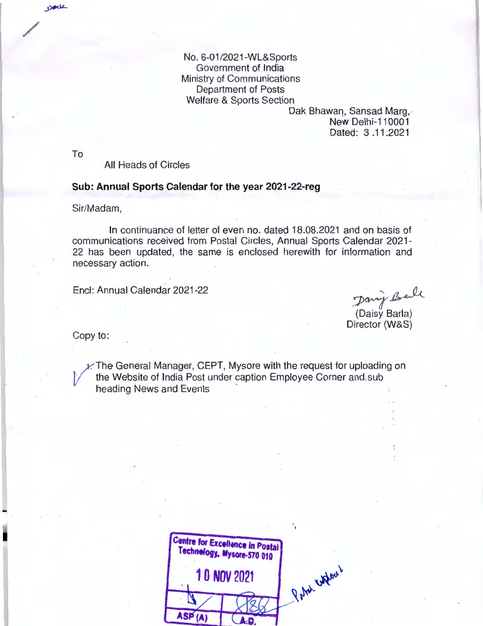No. 6-01 /2021-WL&Sports Government of India Ministry of Communications Department of Posts Welfare & Sports Section

> Dak Bhawan, Sansad Marg, New Delhi-110001 Dated: 3 .11.2021

To

/

 $D$ 

All Heads of Circles

## **Sub: Annual Sports Calendar for the year 2021-22-reg**

Sir/Madam,

In continuance of letter of even no. dated 18.08.2021 and on basis of communications received from Postal Circles, Annual Sports Calendar 2021- 22 has been updated, the same is enclosed herewith for information and necessary action.

Encl: Annual Calendar 2021-22

Danig Ball (Daisy Baria) Director (W&S)

Copy to:

 $\angle$ . The General Manager, CEPT, Mysore with the request for uploading on the Website of India Post under caption Employee Corner and sub heading News and Events

|                    | <b>Centre for Excellence in Postal</b><br>Technology, Mysore-570 010 |             |
|--------------------|----------------------------------------------------------------------|-------------|
| <b>10 NOV 2021</b> |                                                                      | der.<br>hat |
|                    |                                                                      |             |